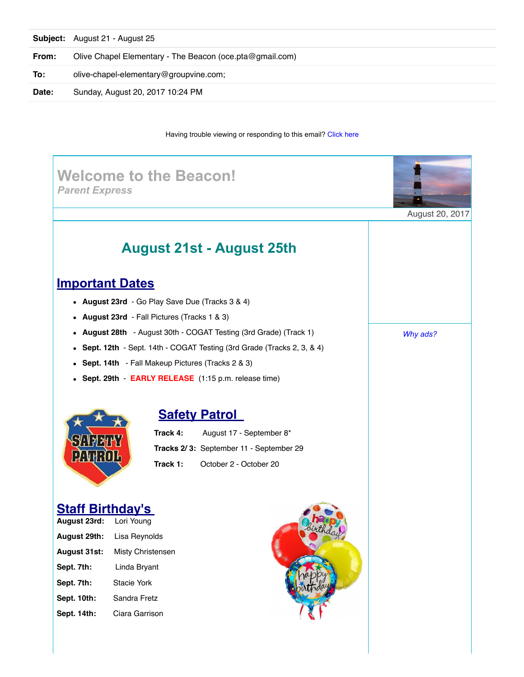|       | <b>Subject:</b> August 21 - August 25                    |
|-------|----------------------------------------------------------|
| From: | Olive Chapel Elementary - The Beacon (oce.pta@gmail.com) |
| To:   | olive-chapel-elementary@groupvine.com;                   |
| Date: | Sunday, August 20, 2017 10:24 PM                         |

#### Having trouble viewing or responding to this email? [Click here](https://www.groupvine.com/objLookup?objId=3415572&viewName=@@email&pageTicket=167ab66f068c973bd3796f3f96e574fe&userEmail=jencm06@yahoo.com&dateSeed=20Aug17-19:24:08-7450&pageId=3415572&userId=1492953)